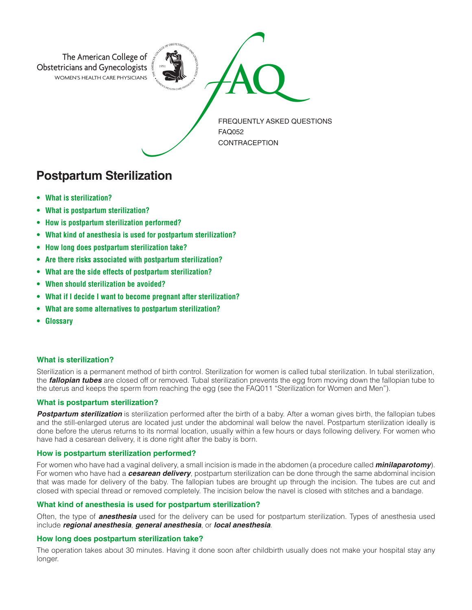

# **Postpartum Sterilization**

- **• What is sterilization?**
- **• What is postpartum sterilization?**
- **• How is postpartum sterilization performed?**
- **• What kind of anesthesia is used for postpartum sterilization?**
- **• How long does postpartum sterilization take?**
- **• Are there risks associated with postpartum sterilization?**
- **• What are the side effects of postpartum sterilization?**
- **• When should sterilization be avoided?**
- **• What if I decide I want to become pregnant after sterilization?**
- **• What are some alternatives to postpartum sterilization?**
- **• Glossary**

# **What is sterilization?**

Sterilization is a permanent method of birth control. Sterilization for women is called tubal sterilization. In tubal sterilization, the *fallopian tubes* are closed off or removed. Tubal sterilization prevents the egg from moving down the fallopian tube to the uterus and keeps the sperm from reaching the egg (see the FAQ011 "Sterilization for Women and Men").

# **What is postpartum sterilization?**

*Postpartum sterilization* is sterilization performed after the birth of a baby. After a woman gives birth, the fallopian tubes and the still-enlarged uterus are located just under the abdominal wall below the navel. Postpartum sterilization ideally is done before the uterus returns to its normal location, usually within a few hours or days following delivery. For women who have had a cesarean delivery, it is done right after the baby is born.

# **How is postpartum sterilization performed?**

For women who have had a vaginal delivery, a small incision is made in the abdomen (a procedure called *minilaparotomy*). For women who have had a *cesarean delivery*, postpartum sterilization can be done through the same abdominal incision that was made for delivery of the baby. The fallopian tubes are brought up through the incision. The tubes are cut and closed with special thread or removed completely. The incision below the navel is closed with stitches and a bandage.

# **What kind of anesthesia is used for postpartum sterilization?**

Often, the type of *anesthesia* used for the delivery can be used for postpartum sterilization. Types of anesthesia used include *regional anesthesia*, *general anesthesia*, or *local anesthesia*.

# **How long does postpartum sterilization take?**

The operation takes about 30 minutes. Having it done soon after childbirth usually does not make your hospital stay any longer.